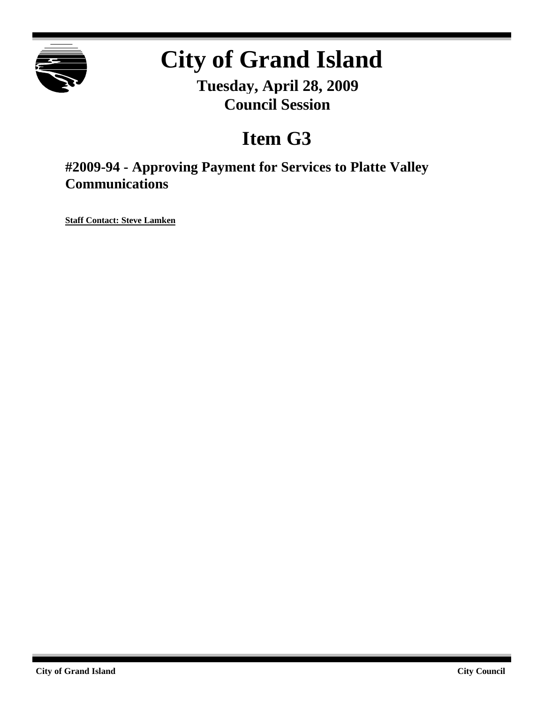

# **City of Grand Island**

**Tuesday, April 28, 2009 Council Session**

# **Item G3**

**#2009-94 - Approving Payment for Services to Platte Valley Communications**

**Staff Contact: Steve Lamken**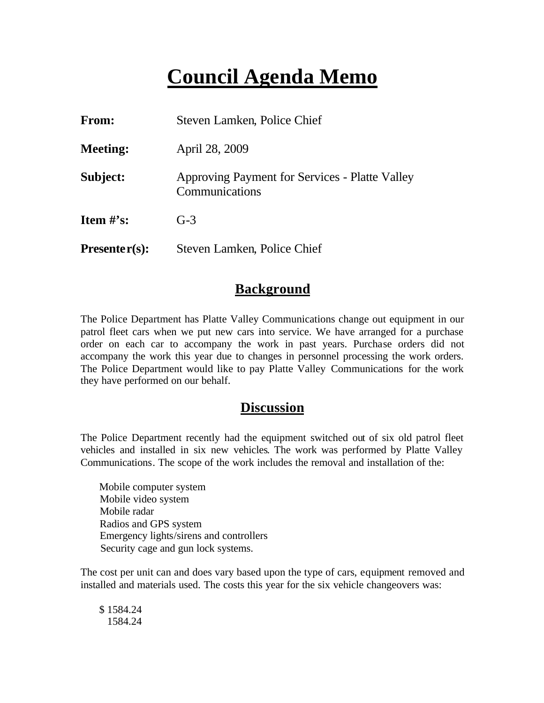# **Council Agenda Memo**

| <b>From:</b>    | Steven Lamken, Police Chief                                      |  |
|-----------------|------------------------------------------------------------------|--|
| <b>Meeting:</b> | April 28, 2009                                                   |  |
| Subject:        | Approving Payment for Services - Platte Valley<br>Communications |  |
| Item $#$ 's:    | $G-3$                                                            |  |
| $Presenter(s):$ | Steven Lamken, Police Chief                                      |  |

### **Background**

The Police Department has Platte Valley Communications change out equipment in our patrol fleet cars when we put new cars into service. We have arranged for a purchase order on each car to accompany the work in past years. Purchase orders did not accompany the work this year due to changes in personnel processing the work orders. The Police Department would like to pay Platte Valley Communications for the work they have performed on our behalf.

#### **Discussion**

The Police Department recently had the equipment switched out of six old patrol fleet vehicles and installed in six new vehicles. The work was performed by Platte Valley Communications. The scope of the work includes the removal and installation of the:

 Mobile computer system Mobile video system Mobile radar Radios and GPS system Emergency lights/sirens and controllers Security cage and gun lock systems.

The cost per unit can and does vary based upon the type of cars, equipment removed and installed and materials used. The costs this year for the six vehicle changeovers was:

 \$ 1584.24 1584.24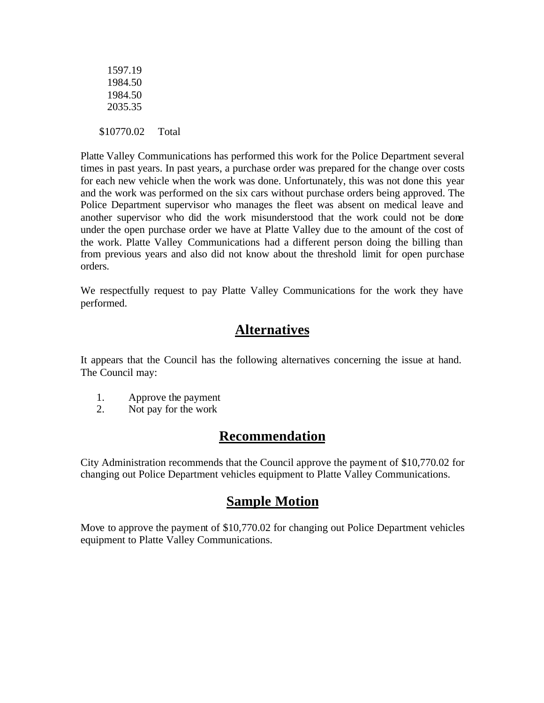| 1597.19<br>1984.50 |       |
|--------------------|-------|
| 1984.50            |       |
| 2035.35            |       |
|                    |       |
| \$10770.02         | Total |

Platte Valley Communications has performed this work for the Police Department several times in past years. In past years, a purchase order was prepared for the change over costs for each new vehicle when the work was done. Unfortunately, this was not done this year and the work was performed on the six cars without purchase orders being approved. The Police Department supervisor who manages the fleet was absent on medical leave and another supervisor who did the work misunderstood that the work could not be done under the open purchase order we have at Platte Valley due to the amount of the cost of the work. Platte Valley Communications had a different person doing the billing than from previous years and also did not know about the threshold limit for open purchase orders.

We respectfully request to pay Platte Valley Communications for the work they have performed.

### **Alternatives**

It appears that the Council has the following alternatives concerning the issue at hand. The Council may:

- 1. Approve the payment
- 2. Not pay for the work

# **Recommendation**

City Administration recommends that the Council approve the payment of \$10,770.02 for changing out Police Department vehicles equipment to Platte Valley Communications.

# **Sample Motion**

Move to approve the payment of \$10,770.02 for changing out Police Department vehicles equipment to Platte Valley Communications.